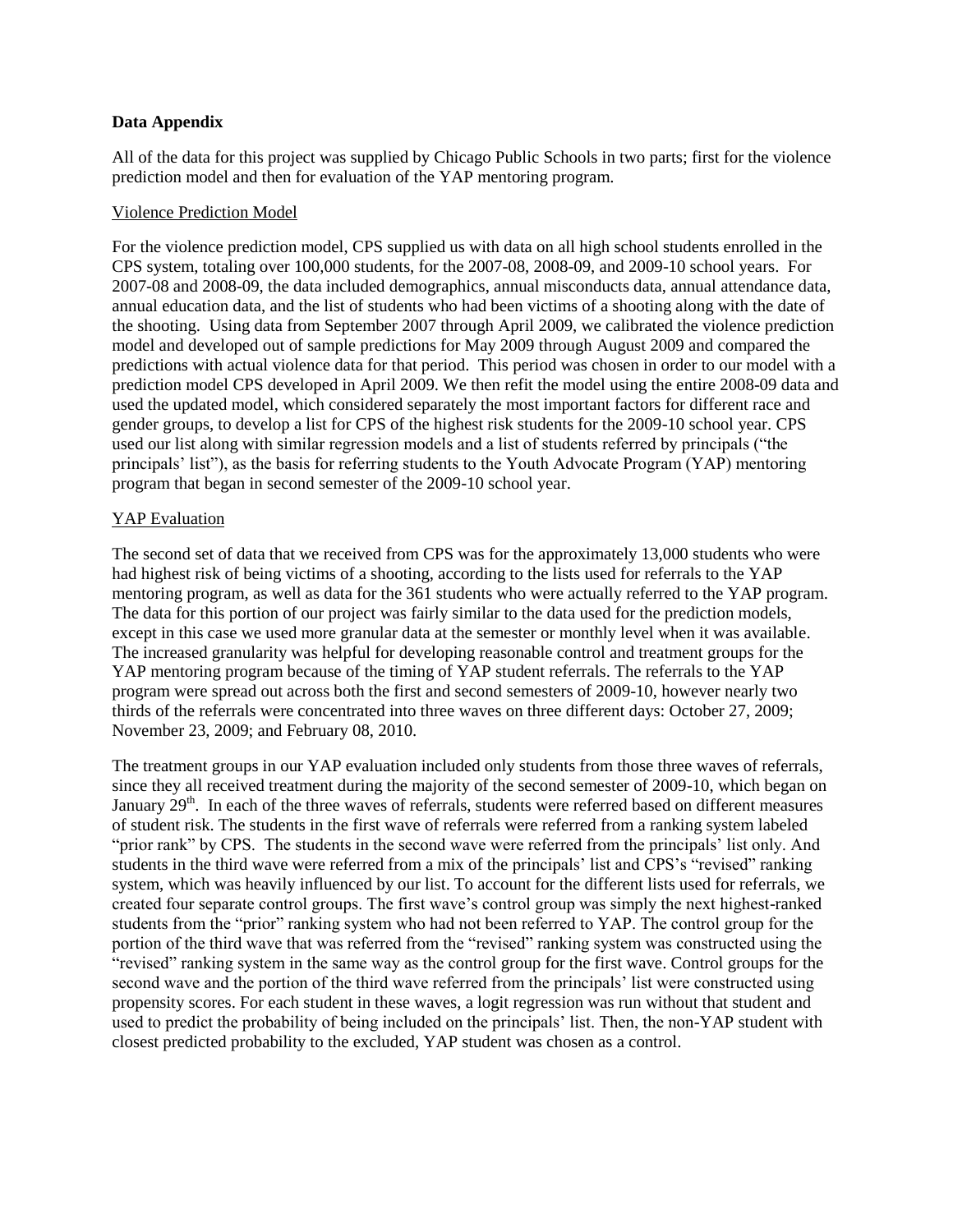## **Data Appendix**

All of the data for this project was supplied by Chicago Public Schools in two parts; first for the violence prediction model and then for evaluation of the YAP mentoring program.

## Violence Prediction Model

For the violence prediction model, CPS supplied us with data on all high school students enrolled in the CPS system, totaling over 100,000 students, for the 2007-08, 2008-09, and 2009-10 school years. For 2007-08 and 2008-09, the data included demographics, annual misconducts data, annual attendance data, annual education data, and the list of students who had been victims of a shooting along with the date of the shooting. Using data from September 2007 through April 2009, we calibrated the violence prediction model and developed out of sample predictions for May 2009 through August 2009 and compared the predictions with actual violence data for that period. This period was chosen in order to our model with a prediction model CPS developed in April 2009. We then refit the model using the entire 2008-09 data and used the updated model, which considered separately the most important factors for different race and gender groups, to develop a list for CPS of the highest risk students for the 2009-10 school year. CPS used our list along with similar regression models and a list of students referred by principals ("the principals' list"), as the basis for referring students to the Youth Advocate Program (YAP) mentoring program that began in second semester of the 2009-10 school year.

## YAP Evaluation

The second set of data that we received from CPS was for the approximately 13,000 students who were had highest risk of being victims of a shooting, according to the lists used for referrals to the YAP mentoring program, as well as data for the 361 students who were actually referred to the YAP program. The data for this portion of our project was fairly similar to the data used for the prediction models, except in this case we used more granular data at the semester or monthly level when it was available. The increased granularity was helpful for developing reasonable control and treatment groups for the YAP mentoring program because of the timing of YAP student referrals. The referrals to the YAP program were spread out across both the first and second semesters of 2009-10, however nearly two thirds of the referrals were concentrated into three waves on three different days: October 27, 2009; November 23, 2009; and February 08, 2010.

The treatment groups in our YAP evaluation included only students from those three waves of referrals, since they all received treatment during the majority of the second semester of 2009-10, which began on January  $29<sup>th</sup>$ . In each of the three waves of referrals, students were referred based on different measures of student risk. The students in the first wave of referrals were referred from a ranking system labeled "prior rank" by CPS. The students in the second wave were referred from the principals' list only. And students in the third wave were referred from a mix of the principals' list and CPS's "revised" ranking system, which was heavily influenced by our list. To account for the different lists used for referrals, we created four separate control groups. The first wave's control group was simply the next highest-ranked students from the "prior" ranking system who had not been referred to YAP. The control group for the portion of the third wave that was referred from the "revised" ranking system was constructed using the "revised" ranking system in the same way as the control group for the first wave. Control groups for the second wave and the portion of the third wave referred from the principals' list were constructed using propensity scores. For each student in these waves, a logit regression was run without that student and used to predict the probability of being included on the principals' list. Then, the non-YAP student with closest predicted probability to the excluded, YAP student was chosen as a control.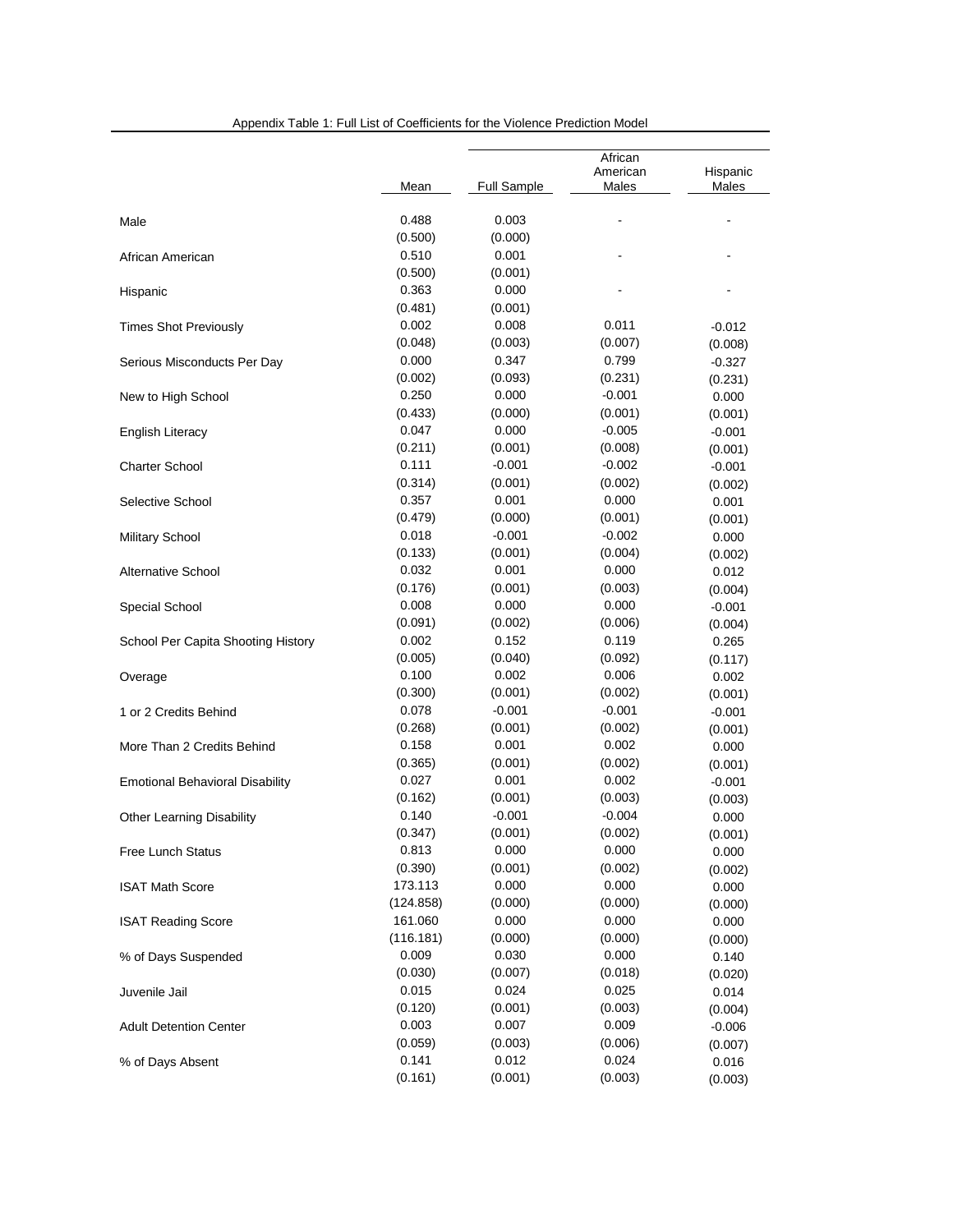|                                        | Mean             | <b>Full Sample</b>  | African<br>American<br>Males | Hispanic<br>Males |
|----------------------------------------|------------------|---------------------|------------------------------|-------------------|
|                                        | 0.488            | 0.003               |                              |                   |
| Male                                   | (0.500)          | (0.000)             |                              |                   |
| African American                       | 0.510            |                     |                              |                   |
|                                        |                  | 0.001               |                              |                   |
| Hispanic                               | (0.500)<br>0.363 | (0.001)<br>0.000    |                              |                   |
|                                        |                  |                     |                              |                   |
| <b>Times Shot Previously</b>           | (0.481)          | (0.001)             |                              |                   |
|                                        | 0.002            | 0.008               | 0.011                        | $-0.012$          |
|                                        | (0.048)<br>0.000 | (0.003)<br>0.347    | (0.007)<br>0.799             | (0.008)           |
| Serious Misconducts Per Day            |                  |                     |                              | $-0.327$          |
|                                        | (0.002)<br>0.250 | (0.093)<br>0.000    | (0.231)                      | (0.231)           |
| New to High School                     |                  |                     | $-0.001$                     | 0.000             |
|                                        | (0.433)<br>0.047 | (0.000)             | (0.001)                      | (0.001)           |
| <b>English Literacy</b>                |                  | 0.000               | $-0.005$                     | $-0.001$          |
|                                        | (0.211)          | (0.001)<br>$-0.001$ | (0.008)                      | (0.001)           |
| <b>Charter School</b>                  | 0.111            |                     | $-0.002$                     | $-0.001$          |
|                                        | (0.314)          | (0.001)             | (0.002)                      | (0.002)           |
| Selective School                       | 0.357            | 0.001               | 0.000                        | 0.001             |
|                                        | (0.479)          | (0.000)             | (0.001)                      | (0.001)           |
| <b>Military School</b>                 | 0.018            | $-0.001$            | $-0.002$                     | 0.000             |
|                                        | (0.133)          | (0.001)             | (0.004)                      | (0.002)           |
| <b>Alternative School</b>              | 0.032            | 0.001               | 0.000                        | 0.012             |
|                                        | (0.176)          | (0.001)             | (0.003)                      | (0.004)           |
| Special School                         | 0.008            | 0.000               | 0.000                        | $-0.001$          |
|                                        | (0.091)          | (0.002)             | (0.006)                      | (0.004)           |
| School Per Capita Shooting History     | 0.002            | 0.152               | 0.119                        | 0.265             |
|                                        | (0.005)          | (0.040)             | (0.092)                      | (0.117)           |
| Overage                                | 0.100            | 0.002               | 0.006                        | 0.002             |
|                                        | (0.300)          | (0.001)             | (0.002)                      | (0.001)           |
| 1 or 2 Credits Behind                  | 0.078            | $-0.001$            | $-0.001$                     | $-0.001$          |
|                                        | (0.268)          | (0.001)             | (0.002)                      | (0.001)           |
| More Than 2 Credits Behind             | 0.158            | 0.001               | 0.002                        | 0.000             |
|                                        | (0.365)          | (0.001)             | (0.002)                      | (0.001)           |
| <b>Emotional Behavioral Disability</b> | 0.027            | 0.001               | 0.002                        | $-0.001$          |
|                                        | (0.162)          | (0.001)             | (0.003)                      | (0.003)           |
| <b>Other Learning Disability</b>       | 0.140            | $-0.001$            | $-0.004$                     | 0.000             |
|                                        | (0.347)          | (0.001)             | (0.002)                      | (0.001)           |
| Free Lunch Status                      | 0.813            | 0.000               | 0.000                        | 0.000             |
|                                        | (0.390)          | (0.001)             | (0.002)                      | (0.002)           |
| <b>ISAT Math Score</b>                 | 173.113          | 0.000               | 0.000                        | 0.000             |
|                                        | (124.858)        | (0.000)             | (0.000)                      | (0.000)           |
| <b>ISAT Reading Score</b>              | 161.060          | 0.000               | 0.000                        | 0.000             |
|                                        | (116.181)        | (0.000)             | (0.000)                      | (0.000)           |
| % of Days Suspended<br>Juvenile Jail   | 0.009            | 0.030               | 0.000                        | 0.140             |
|                                        | (0.030)          | (0.007)             | (0.018)                      | (0.020)           |
|                                        | 0.015            | 0.024               | 0.025                        | 0.014             |
|                                        | (0.120)          | (0.001)             | (0.003)                      | (0.004)           |
| <b>Adult Detention Center</b>          | 0.003            | 0.007               | 0.009                        | $-0.006$          |
|                                        | (0.059)          | (0.003)             | (0.006)                      | (0.007)           |
| % of Days Absent                       | 0.141            | 0.012               | 0.024                        | 0.016             |
|                                        | (0.161)          | (0.001)             | (0.003)                      | (0.003)           |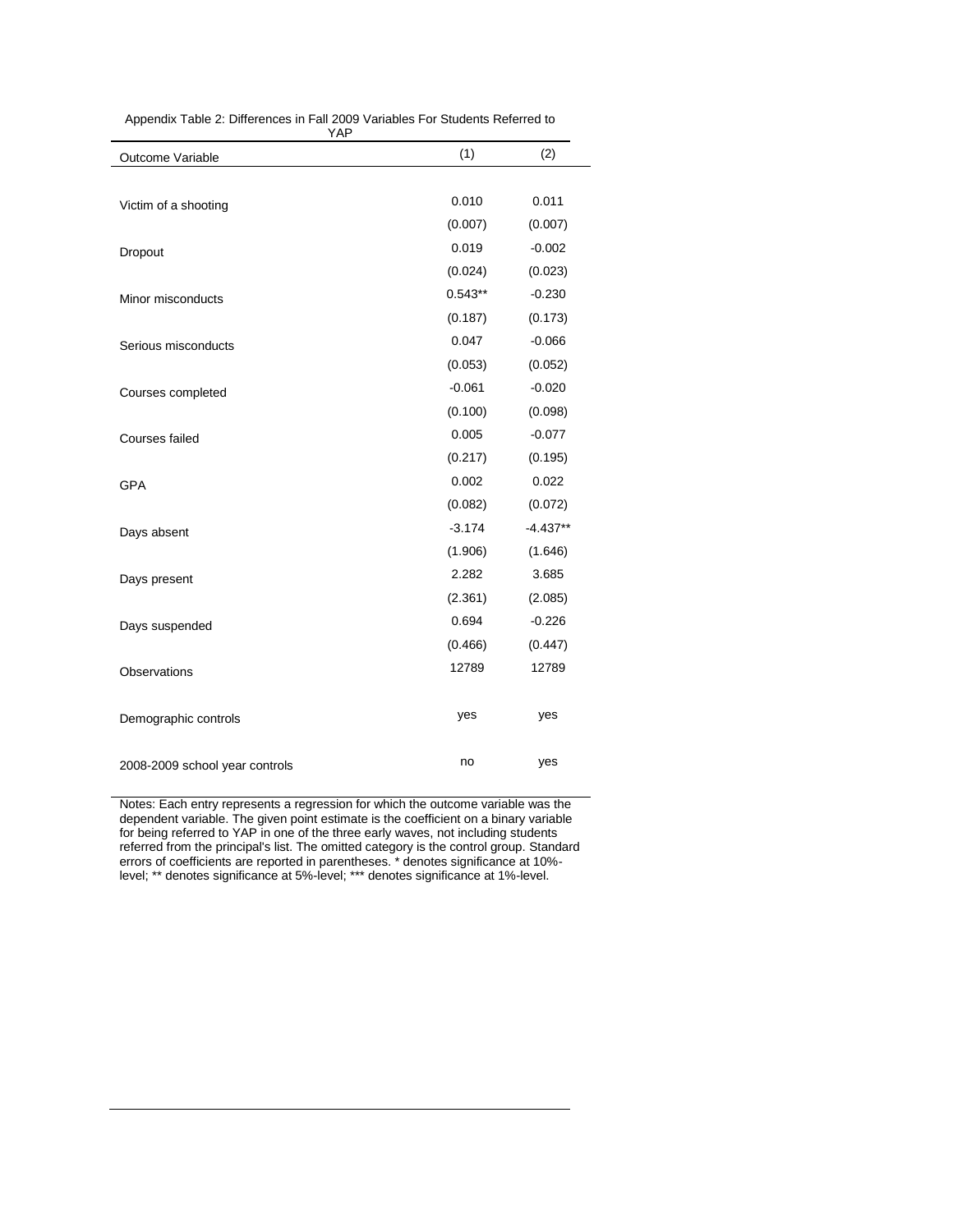| Appendix Table 2: Differences in Fall 2009 Variables For Students Referred to |
|-------------------------------------------------------------------------------|
| YAP                                                                           |

| $\overline{1}$                 |           |            |  |  |  |
|--------------------------------|-----------|------------|--|--|--|
| Outcome Variable               | (1)       | (2)        |  |  |  |
|                                |           |            |  |  |  |
| Victim of a shooting           | 0.010     | 0.011      |  |  |  |
|                                | (0.007)   | (0.007)    |  |  |  |
| Dropout                        | 0.019     | $-0.002$   |  |  |  |
|                                | (0.024)   | (0.023)    |  |  |  |
| Minor misconducts              | $0.543**$ | $-0.230$   |  |  |  |
|                                | (0.187)   | (0.173)    |  |  |  |
| Serious misconducts            | 0.047     | $-0.066$   |  |  |  |
|                                | (0.053)   | (0.052)    |  |  |  |
| Courses completed              | $-0.061$  | $-0.020$   |  |  |  |
|                                | (0.100)   | (0.098)    |  |  |  |
| <b>Courses failed</b>          | 0.005     | $-0.077$   |  |  |  |
|                                | (0.217)   | (0.195)    |  |  |  |
| <b>GPA</b>                     | 0.002     | 0.022      |  |  |  |
|                                | (0.082)   | (0.072)    |  |  |  |
| Days absent                    | $-3.174$  | $-4.437**$ |  |  |  |
|                                | (1.906)   | (1.646)    |  |  |  |
| Days present                   | 2.282     | 3.685      |  |  |  |
|                                | (2.361)   | (2.085)    |  |  |  |
| Days suspended                 | 0.694     | $-0.226$   |  |  |  |
|                                | (0.466)   | (0.447)    |  |  |  |
| <b>Observations</b>            | 12789     | 12789      |  |  |  |
|                                |           |            |  |  |  |
| Demographic controls           | yes       | yes        |  |  |  |
|                                |           |            |  |  |  |
| 2008-2009 school year controls | no        | yes        |  |  |  |

Notes: Each entry represents a regression for which the outcome variable was the dependent variable. The given point estimate is the coefficient on a binary variable for being referred to YAP in one of the three early waves, not including students referred from the principal's list. The omitted category is the control group. Standard errors of coefficients are reported in parentheses. \* denotes significance at 10% level; \*\* denotes significance at 5%-level; \*\*\* denotes significance at 1%-level.